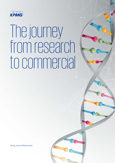

# The journey from research to commercial

kpmg.com/cn/lifesciences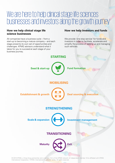### We are here to help clinical stage life sciences businesses and investors along the growth journey

#### **How we help clinical stage life science businesses**

All companies have a business cycle – from a start-up to becoming a mature company – and each stage presents its own set of opportunities and challenges. KPMG advisors understand what it takes for you to succeed at each stage of your business journey.

#### **How we help investors and funds**

We provide 'one stop service' for funds and investors in order to facilitate, accelerate and simplify the process of setting up and managing such vehicles.



© 2019 KPMG, a Hong Kong partnership and a member firm of the KPMG network of independent member firms affiliated with KPMG International Cooperative ("KPMG International"), a Swiss entity. All rights reserved.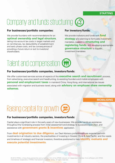#### **STARTING**

### Company and funds structuring GB

### **For businesses/portfolio companies: For investors/funds:**

We provide founders with recommendations for an **optimal ownership and legal structure**, taking into account tax costs in target markets and on remittances, tax deductibility of establishment and early phase costs, and tax consequences of providing a future return or exit to investors/ shareholders.

We provide investors and funds with **fund strategy** and planning to formulate investment mandates, support in **structuring and registering funds**, and developing appropriate **governance structure** to support investment mandates.

### Talent and compensation (iii

#### **For businesses/portfolio companies, investors/funds:**

We offer customised services across all aspects of the **executive search and recruitment** process, from advertising, executive search and headhunting, to assisting founders and mobile employees with **personal and employment taxes** in mainland China, Hong Kong, and international tax issues associated with migration and business travel; along with **advisory on employee share ownership schemes**.

#### **MOBILISING**

## Raising capital for growth

#### **For businesses/portfolio companies, investors/funds:**

Capital plays a significant role in the early years of new businesses. We provide hands-on assistance throughout the fundraising process from initial assessment and strategy to successful execution, and assistance with **government grants & incentives** application.

From **deal origination to due diligence**, our Deal Advisory professionals are experienced with investments in all industry sectors, the practicalities of investing in Greater China & Asia Pacific, and the needs and timelines of strategic and financial investors; therefore positioned to help **identify, evaluate and execute potential investments**.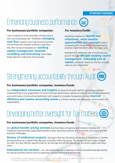#### **STRENGTHENING**

### Enhancing business performance

### **For businesses/portfolio companies: For investors/funds:**

Lack of capital to cover everyday running costs is why new businesses fail. Therefore, **managing cash flow** needs to be a top priority to ensure the business will maintain sufficient cash flow. We offer hands-on assistance in **working capital management, financial modelling and forecasting** that enable better decision making for the business.

value to your investment

Assisting investors to **identify key milestones, value creation opportunities and synergies** before completing the transaction(s) and developing practical implementation plans to realize value.

Assistance in releasing cash to fund business growth through **efficient working capital management, managing cost of capital,** and other means to monitor and add

# Strengthening accountability through Audit

#### **For businesses/portfolio companies, investors/funds:**

Our **independent assurance and insights** go beyond the audit opinion, giving you a greater understanding of your organization or fund's financial performance, advice on internal controls and processes, and confirmation of accounting treatments with respect to complex transactions to help **improve efficiency and resolve accounting issues** in a timely manner and effectively communicate with stakeholders.

### Developing better oversight for Tax matters

#### **For businesses/portfolio companies, investors/funds:**

Our **global transfer pricing services** practice helps companies and investors develop and implement economically supportable transfer prices, document policies and outcomes, and respond to tax authority challenges.

**Review of intellectual property**, amongst other key functions and assets is imperative in transfer pricing study so as to determine allocation of profits within the group. The review not only helps mitigate tax risks, but also identify opportunities for tax savings and efficiencies across the entire supply and value chain.

**International tax services** – we are passionate about helping you find comprehensive approaches for typical business events such as expansion, private finance and refinancing.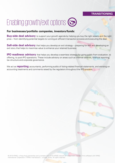#### **TRANSITIONING**

## Enabling growth/exit options G

#### **For businesses/portfolio companies, investors/funds:**

**Buy-side deal advisory** to support your growth agenda by helping you buy the right assets and the right price – from identifying potential targets to running an efficient transaction process and executing the deal.

**Sell-side deal advisory** that helps you develop an exit strategy – preparing for exit and developing an exit story that helps to maximise value to enhance your retained business.

**IPO readiness advisory** that helps you develop a seamless strategy for going public from evaluation, to offering, to post-IPO operations. These include advisory on areas such as internal controls, financial reporting, tax structure and corporate governance.

We act as **reporting** accountants, performing audits of listing-related financial statements, and advising on accounting treatments and comments raised by the regulators throughout the IPO process.